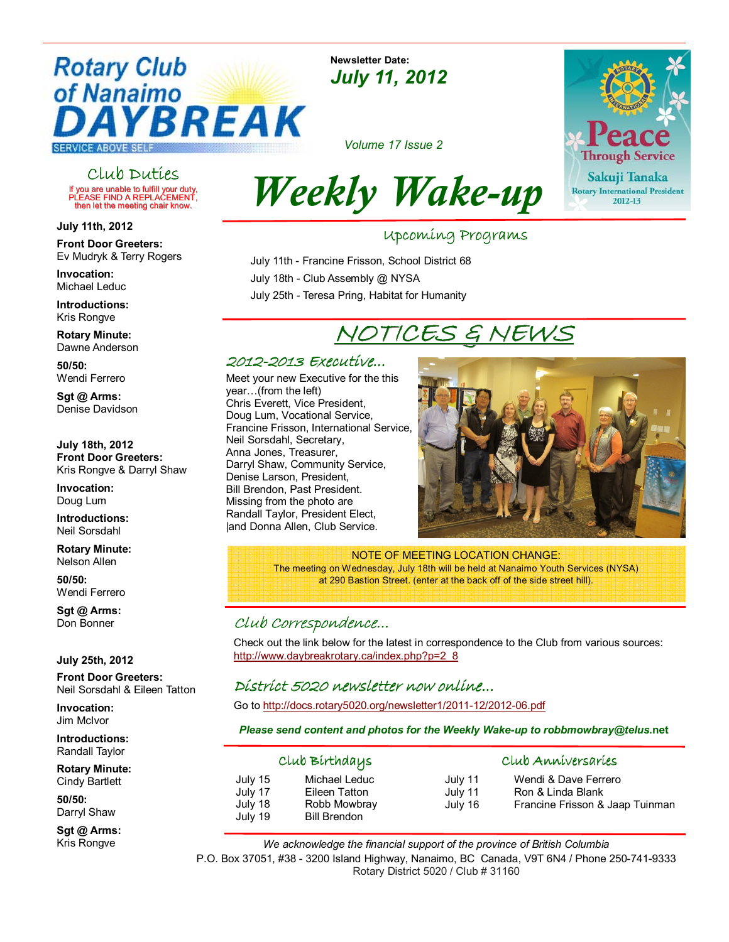## **Rotary Club** of Nanaimo YBREAK **SERVICE ABOVE SELF**

Club Duties If you are unable to fulfill your duty, PLEASE FIND A REPLACEMENT, then let the meeting chair know.

July 11th, 2012

Front Door Greeters: Ev Mudryk & Terry Rogers

Invocation: Michael Leduc

Introductions: Kris Rongve

Rotary Minute: Dawne Anderson

50/50: Wendi Ferrero

Sgt @ Arms: Denise Davidson

July 18th, 2012 Front Door Greeters: Kris Rongve & Darryl Shaw

Invocation: Doug Lum

Introductions: Neil Sorsdahl

Rotary Minute: Nelson Allen

50/50: Wendi Ferrero

Sgt @ Arms: Don Bonner

July 25th, 2012

Front Door Greeters: Neil Sorsdahl & Eileen Tatton

Invocation: Jim McIvor

Introductions: Randall Taylor

Rotary Minute: Cindy Bartlett

50/50: Darryl Shaw

Sgt @ Arms: Kris Rongve

#### Newsletter Date: July 11, 2012

**Through Service** Sakuji Tanaka Rotary International President 2012-13

Volume 17 Issue 2

# Weekly Wake-up

Upcoming Programs Upcoming Programs

 July 11th - Francine Frisson, School District 68 July 18th - Club Assembly @ NYSA July 25th - Teresa Pring, Habitat for Humanity

## NOTICES & NEWS

#### 2012-2013 Executive... 2013 Executive...

Meet your new Executive for the this year...(from the left) Chris Everett, Vice President, Doug Lum, Vocational Service, Francine Frisson, International Service, Neil Sorsdahl, Secretary, Anna Jones, Treasurer, Darryl Shaw, Community Service, Denise Larson, President, Bill Brendon, Past President. Missing from the photo are Randall Taylor, President Elect, |and Donna Allen, Club Service.



NOTE OF MEETING LOCATION CHANGE: The meeting on Wednesday, July 18th will be held at Nanaimo Youth Services (NYSA)

at 290 Bastion Street. (enter at the back off of the side street hill).

### Club Correspondence...

Check out the link below for the latest in correspondence to the Club from various sources: http://www.daybreakrotary.ca/index.php?p=2\_8

### District 5020 newsletter now online...

Go to http://docs.rotary5020.org/newsletter1/2011-12/2012-06.pdf

#### Please send content and photos for the Weekly Wake-up to robbmowbray@telus.net

| Club Bírthdays                           |                                                                       | Club Anniversaries            |                                                                              |
|------------------------------------------|-----------------------------------------------------------------------|-------------------------------|------------------------------------------------------------------------------|
| July 15<br>July 17<br>July 18<br>July 19 | Michael Leduc<br>Eileen Tatton<br>Robb Mowbray<br><b>Bill Brendon</b> | July 11<br>July 11<br>July 16 | Wendi & Dave Ferrero<br>Ron & Linda Blank<br>Francine Frisson & Jaap Tuinman |

We acknowledge the financial support of the province of British Columbia P.O. Box 37051, #38 - 3200 Island Highway, Nanaimo, BC Canada, V9T 6N4 / Phone 250-741-9333 Rotary District 5020 / Club # 31160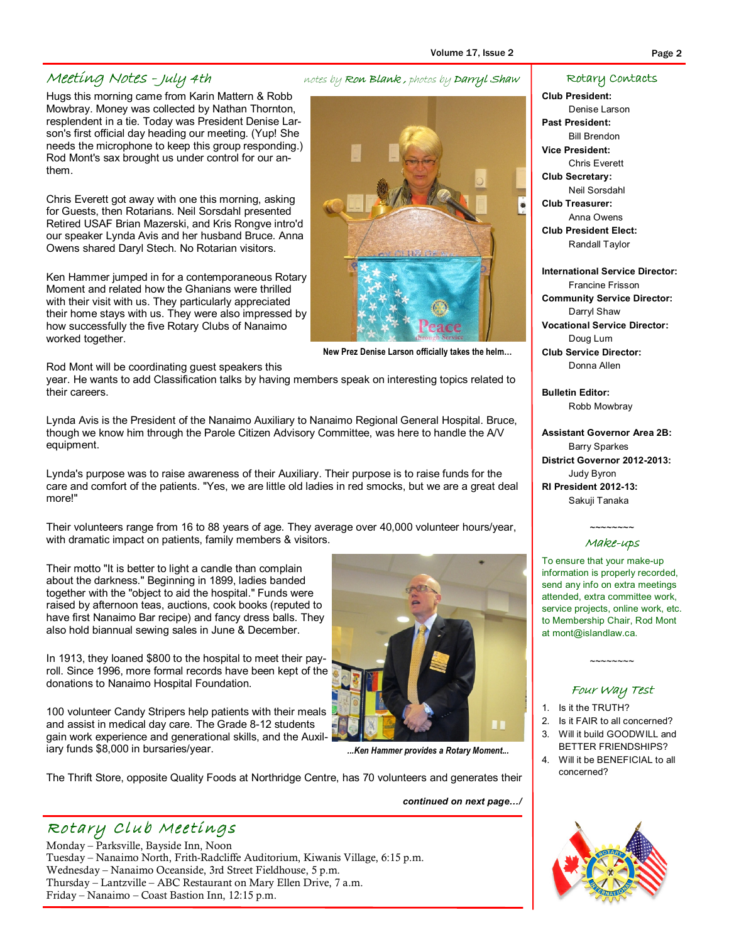Hugs this morning came from Karin Mattern & Robb Mowbray. Money was collected by Nathan Thornton, resplendent in a tie. Today was President Denise Larson's first official day heading our meeting. (Yup! She needs the microphone to keep this group responding.) Rod Mont's sax brought us under control for our anthem.

Chris Everett got away with one this morning, asking for Guests, then Rotarians. Neil Sorsdahl presented Retired USAF Brian Mazerski, and Kris Rongve intro'd our speaker Lynda Avis and her husband Bruce. Anna Owens shared Daryl Stech. No Rotarian visitors.

Ken Hammer jumped in for a contemporaneous Rotary Moment and related how the Ghanians were thrilled with their visit with us. They particularly appreciated their home stays with us. They were also impressed by how successfully the five Rotary Clubs of Nanaimo worked together.

Rod Mont will be coordinating guest speakers this

year. He wants to add Classification talks by having members speak on interesting topics related to their careers.

Lynda Avis is the President of the Nanaimo Auxiliary to Nanaimo Regional General Hospital. Bruce, though we know him through the Parole Citizen Advisory Committee, was here to handle the A/V equipment.

Lynda's purpose was to raise awareness of their Auxiliary. Their purpose is to raise funds for the care and comfort of the patients. "Yes, we are little old ladies in red smocks, but we are a great deal more!"

Their volunteers range from 16 to 88 years of age. They average over 40,000 volunteer hours/year, with dramatic impact on patients, family members & visitors.

Their motto "It is better to light a candle than complain about the darkness." Beginning in 1899, ladies banded together with the "object to aid the hospital." Funds were raised by afternoon teas, auctions, cook books (reputed to have first Nanaimo Bar recipe) and fancy dress balls. They also hold biannual sewing sales in June & December.

In 1913, they loaned \$800 to the hospital to meet their payroll. Since 1996, more formal records have been kept of the donations to Nanaimo Hospital Foundation.

100 volunteer Candy Stripers help patients with their meals and assist in medical day care. The Grade 8-12 students gain work experience and generational skills, and the Auxiliary funds \$8,000 in bursaries/year.

Wednesday – Nanaimo Oceanside, 3rd Street Fieldhouse, 5 p.m. Thursday – Lantzville – ABC Restaurant on Mary Ellen Drive, 7 a.m.

Rotary Club Meetings Monday – Parksville, Bayside Inn, Noon

Friday – Nanaimo – Coast Bastion Inn, 12:15 p.m.

The Thrift Store, opposite Quality Foods at Northridge Centre, has 70 volunteers and generates their

Tuesday – Nanaimo North, Frith-Radcliffe Auditorium, Kiwanis Village, 6:15 p.m.

continued on next page.../

#### Rotary Contacts

Club President: Denise Larson Past President: Bill Brendon Vice President: Chris Everett Club Secretary: Neil Sorsdahl Club Treasurer:

Anna Owens Club President Elect: Randall Taylor

International Service Director: Francine Frisson Community Service Director: Darryl Shaw Vocational Service Director: Doug Lum Club Service Director: Donna Allen

Bulletin Editor: Robb Mowbray

Assistant Governor Area 2B: Barry Sparkes District Governor 2012-2013: Judy Byron RI President 2012-13: Sakuji Tanaka

#### $\sim$ ~~~~~~ Make-ups

To ensure that your make-up information is properly recorded, send any info on extra meetings attended, extra committee work, service projects, online work, etc. to Membership Chair, Rod Mont at mont@islandlaw.ca.

#### Four Way Test

 $\sim$ ~~~~~~

- 1. Is it the TRUTH?
- 2. Is it FAIR to all concerned? 3. Will it build GOODWILL and
- BETTER FRIENDSHIPS?
- 4. Will it be BENEFICIAL to all concerned?



### Meeting Notes - July 4th notes by Ron Blank, photos by Darryl Shaw





...Ken Hammer provides a Rotary Moment...